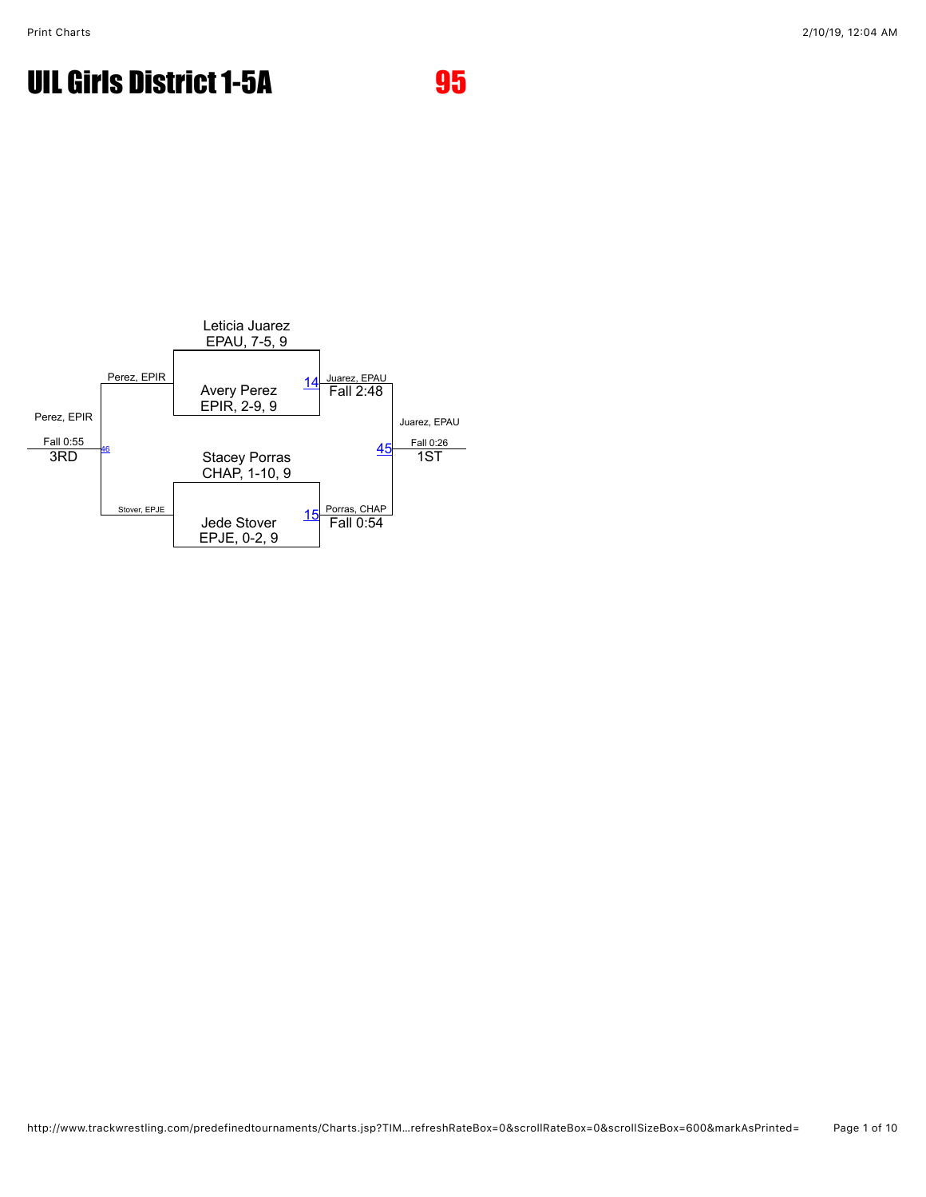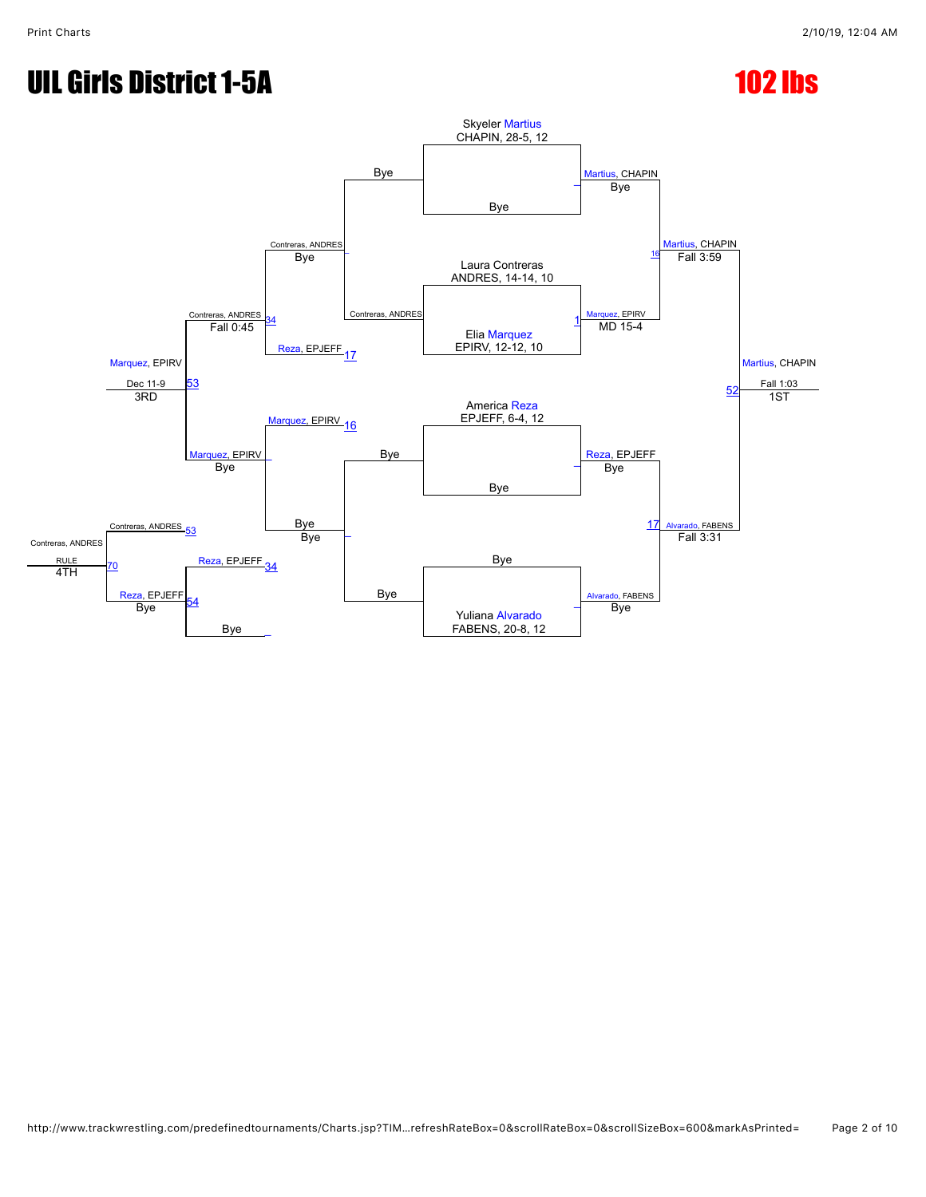# UIL Girls District 1-5A 102 lbs

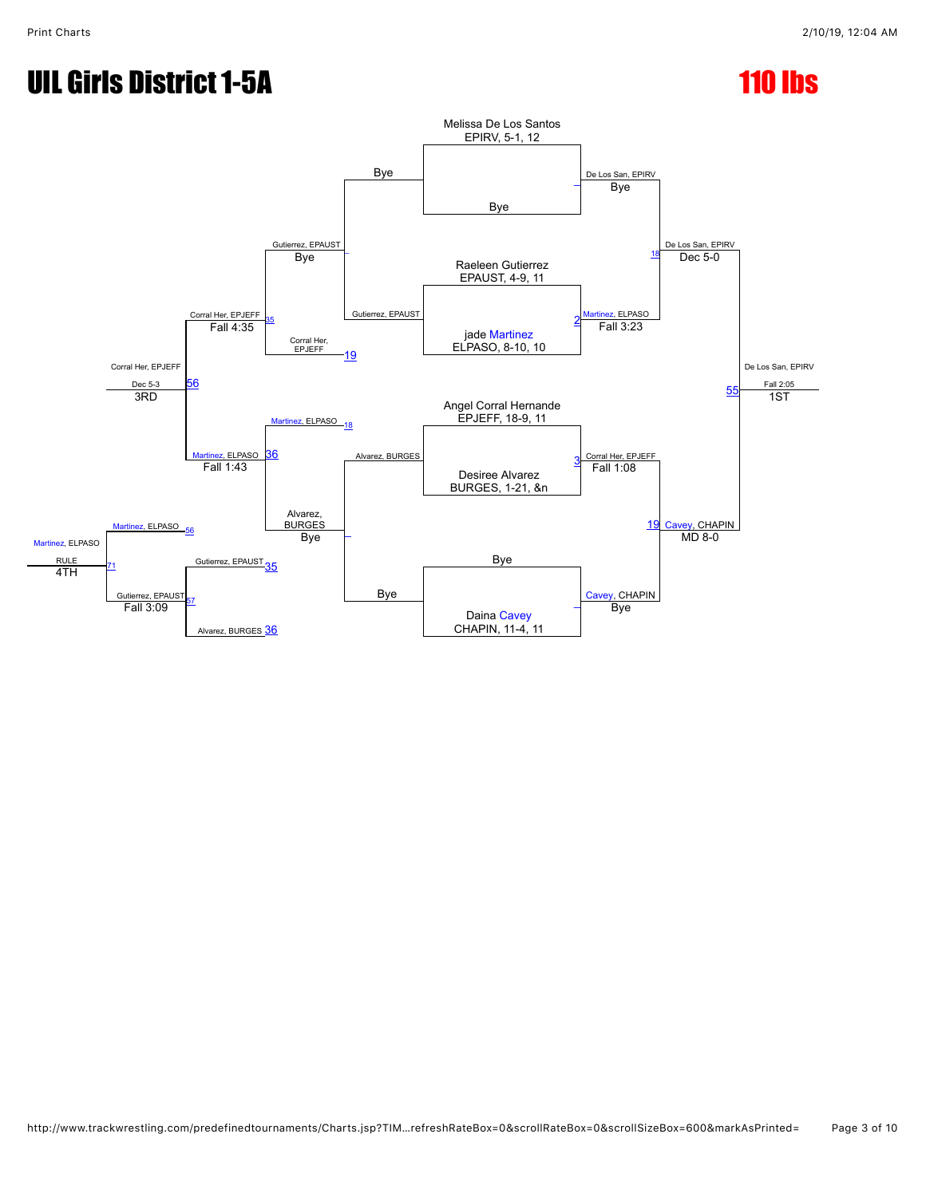## UIL Girls District 1-5A 110 lbs

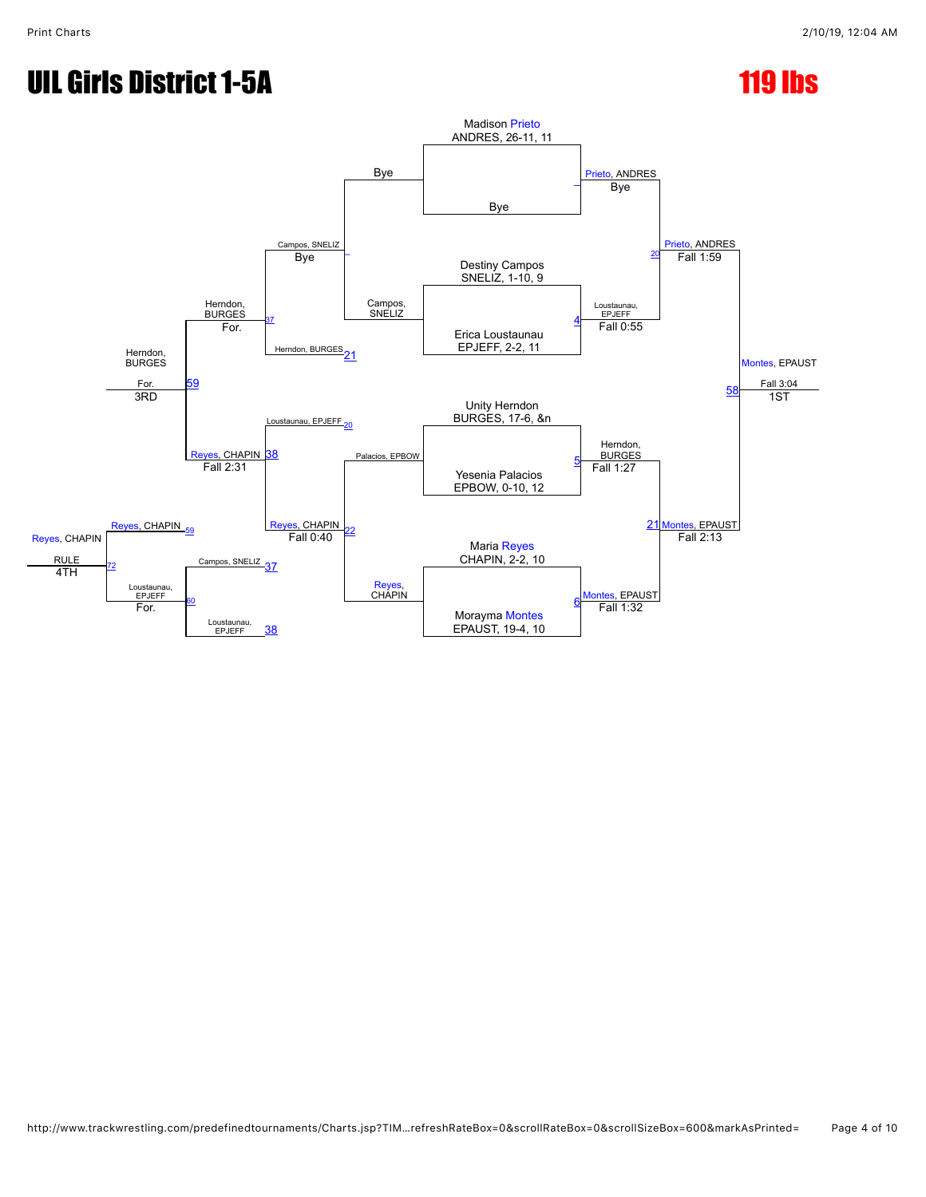## UIL Girls District 1-5A 119 lbs

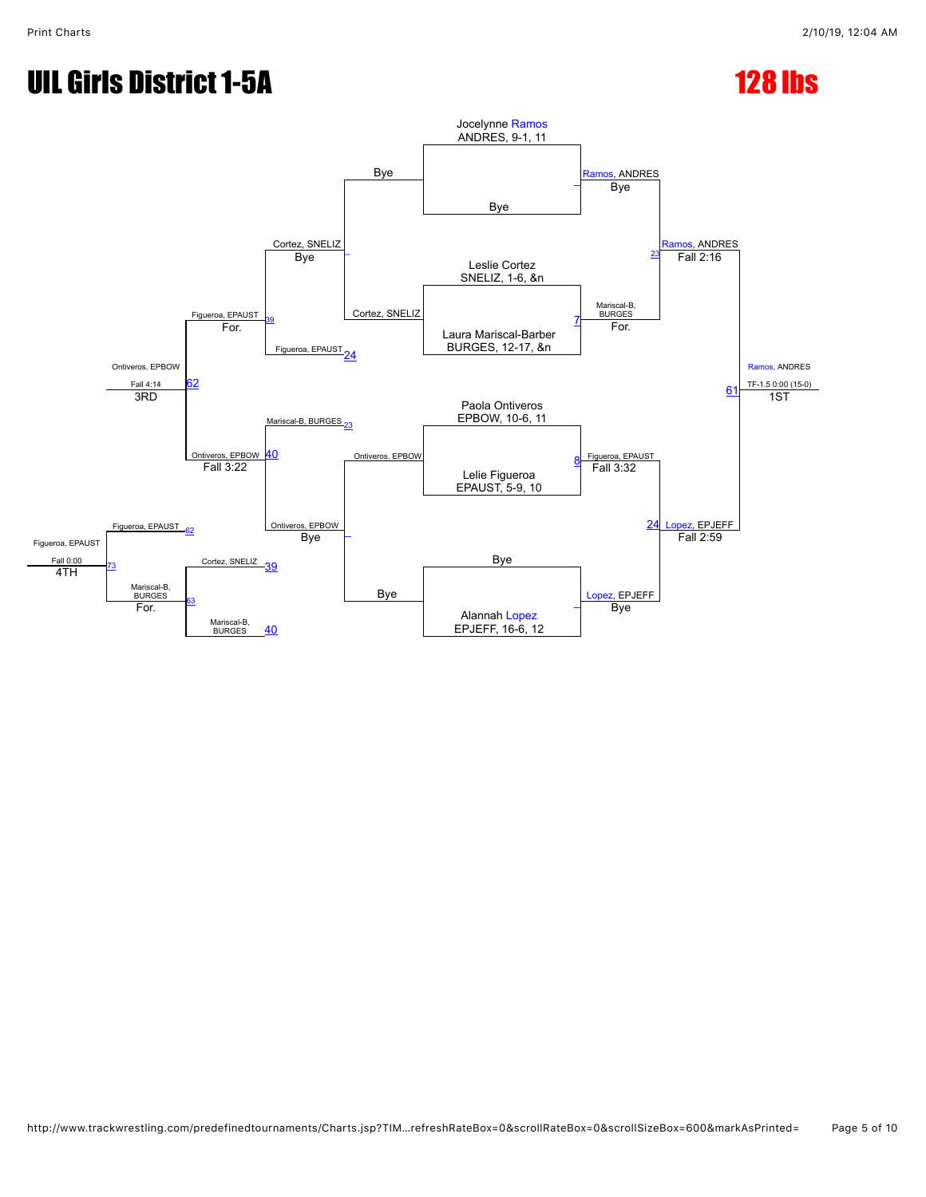## UIL Girls District 1-5A 128 lbs

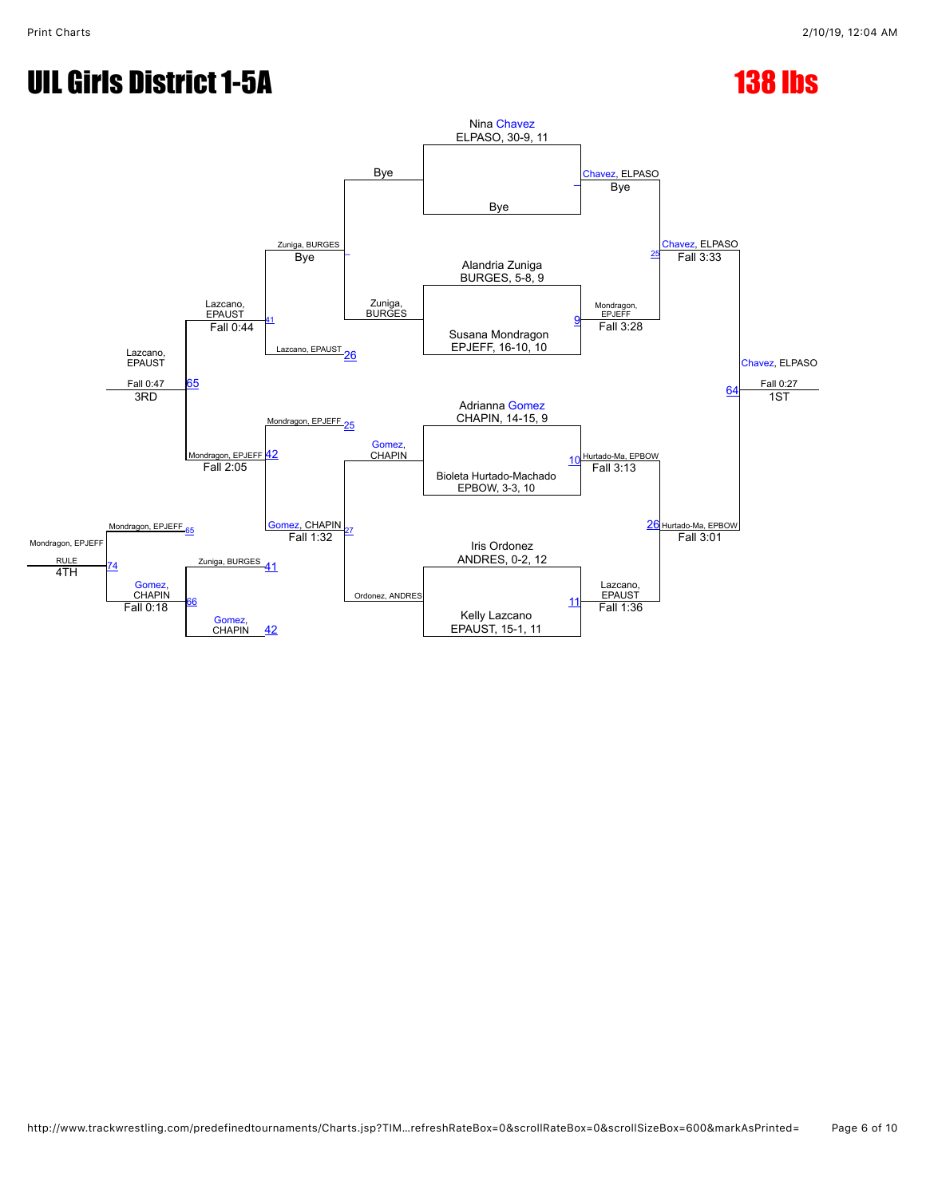# UIL Girls District 1-5A 138 lbs

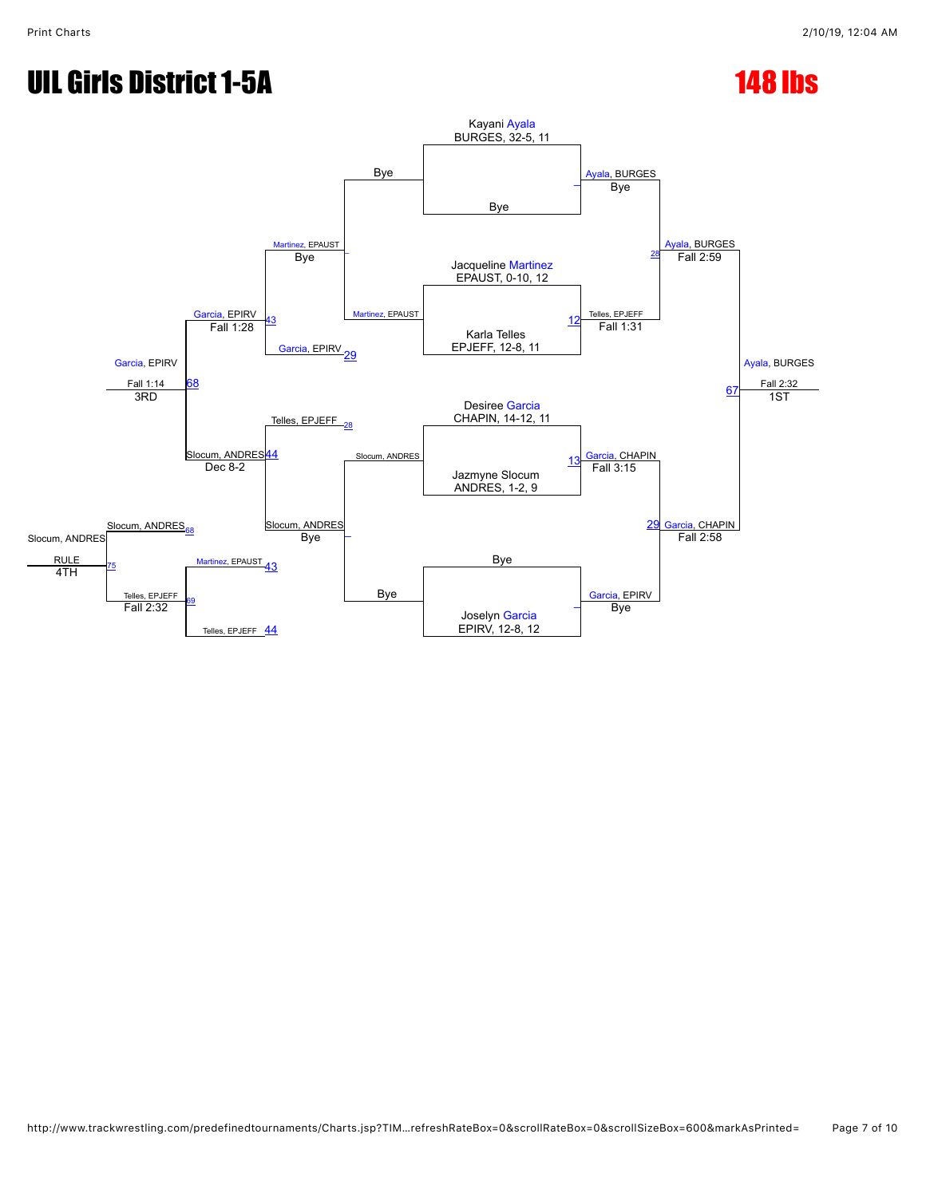# UIL Girls District 1-5A 148 lbs

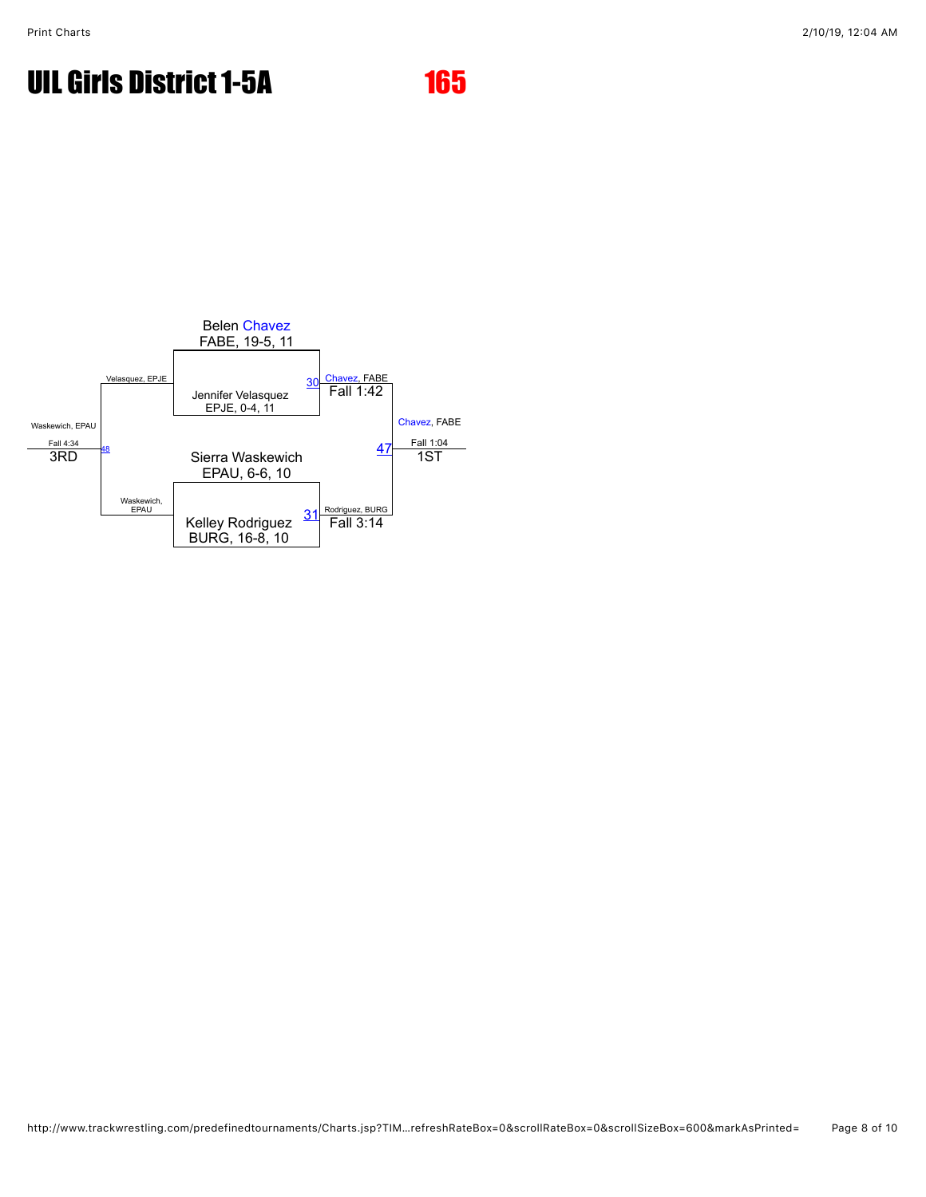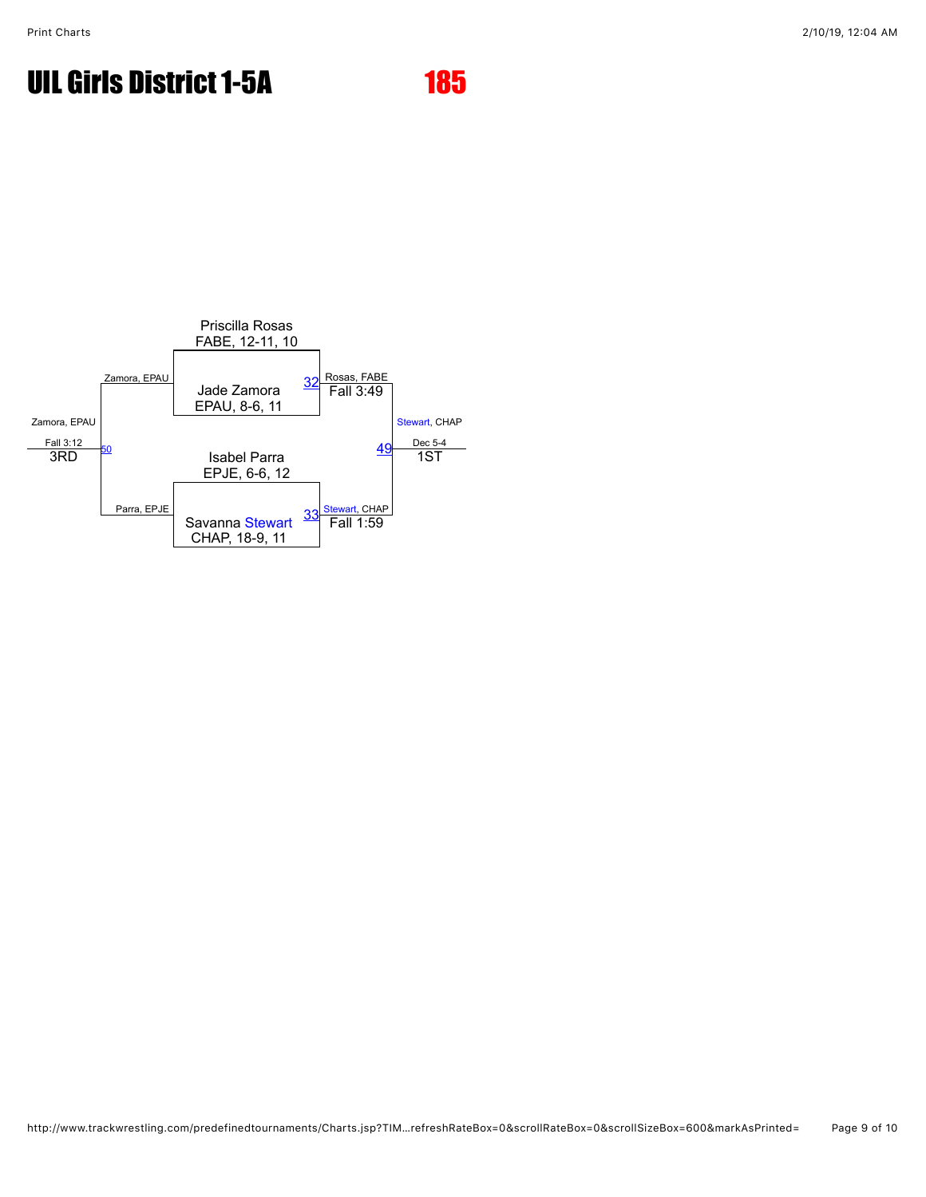